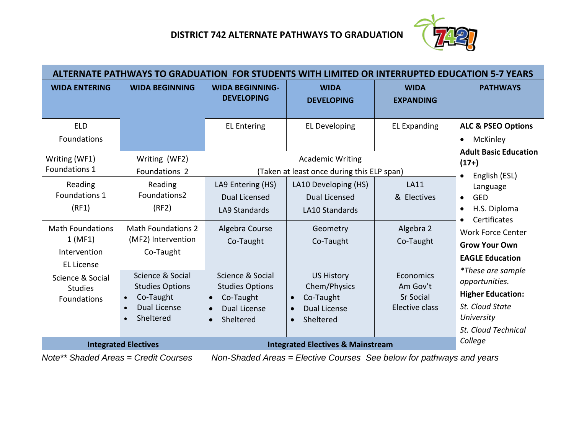

| ALTERNATE PATHWAYS TO GRADUATION FOR STUDENTS WITH LIMITED OR INTERRUPTED EDUCATION 5-7 YEARS |                                                                                                                                                 |                                                                                                          |                                                                                                              |                                                                    |                                                                                                                                                                 |  |  |  |  |
|-----------------------------------------------------------------------------------------------|-------------------------------------------------------------------------------------------------------------------------------------------------|----------------------------------------------------------------------------------------------------------|--------------------------------------------------------------------------------------------------------------|--------------------------------------------------------------------|-----------------------------------------------------------------------------------------------------------------------------------------------------------------|--|--|--|--|
| <b>WIDA ENTERING</b>                                                                          | <b>WIDA BEGINNING</b>                                                                                                                           | <b>WIDA BEGINNING-</b><br><b>DEVELOPING</b>                                                              | <b>WIDA</b><br><b>DEVELOPING</b>                                                                             | <b>WIDA</b><br><b>EXPANDING</b>                                    | <b>PATHWAYS</b>                                                                                                                                                 |  |  |  |  |
| <b>ELD</b><br><b>Foundations</b>                                                              |                                                                                                                                                 | <b>EL Entering</b>                                                                                       | <b>EL Developing</b>                                                                                         | <b>EL Expanding</b>                                                | <b>ALC &amp; PSEO Options</b><br>McKinley<br>$\bullet$                                                                                                          |  |  |  |  |
| Writing (WF1)<br>Foundations 1                                                                | Writing (WF2)<br>Foundations 2                                                                                                                  |                                                                                                          | <b>Academic Writing</b><br>(Taken at least once during this ELP span)                                        |                                                                    | <b>Adult Basic Education</b><br>$(17+)$<br>English (ESL)<br>$\bullet$                                                                                           |  |  |  |  |
| Reading<br>Foundations 1<br>(RF1)<br><b>Math Foundations</b><br>1(MF1)                        | Reading<br>Foundations2<br>(RF2)<br><b>Math Foundations 2</b><br>(MF2) Intervention                                                             | LA9 Entering (HS)<br>Dual Licensed<br><b>LA9 Standards</b><br>Algebra Course<br>Co-Taught                | LA10 Developing (HS)<br>Dual Licensed<br><b>LA10 Standards</b><br>Geometry<br>Co-Taught                      | <b>LA11</b><br>& Electives<br>Algebra 2<br>Co-Taught               | Language<br><b>GED</b><br>$\bullet$<br>H.S. Diploma<br>$\bullet$<br>Certificates<br>$\bullet$<br><b>Work Force Center</b><br><b>Grow Your Own</b>               |  |  |  |  |
| Intervention<br><b>EL License</b><br>Science & Social<br><b>Studies</b><br>Foundations        | Co-Taught<br>Science & Social<br><b>Studies Options</b><br>Co-Taught<br>$\bullet$<br><b>Dual License</b><br>$\bullet$<br>Sheltered<br>$\bullet$ | Science & Social<br><b>Studies Options</b><br>Co-Taught<br>$\bullet$<br><b>Dual License</b><br>Sheltered | <b>US History</b><br>Chem/Physics<br>Co-Taught<br>$\bullet$<br><b>Dual License</b><br>Sheltered<br>$\bullet$ | <b>Economics</b><br>Am Gov't<br><b>Sr Social</b><br>Elective class | <b>EAGLE Education</b><br><i>*These are sample</i><br>opportunities.<br><b>Higher Education:</b><br>St. Cloud State<br>University<br><b>St. Cloud Technical</b> |  |  |  |  |
|                                                                                               | <b>Integrated Electives</b>                                                                                                                     | <b>Integrated Electives &amp; Mainstream</b>                                                             | College                                                                                                      |                                                                    |                                                                                                                                                                 |  |  |  |  |

*Note\*\* Shaded Areas = Credit Courses Non-Shaded Areas = Elective Courses See below for pathways and years*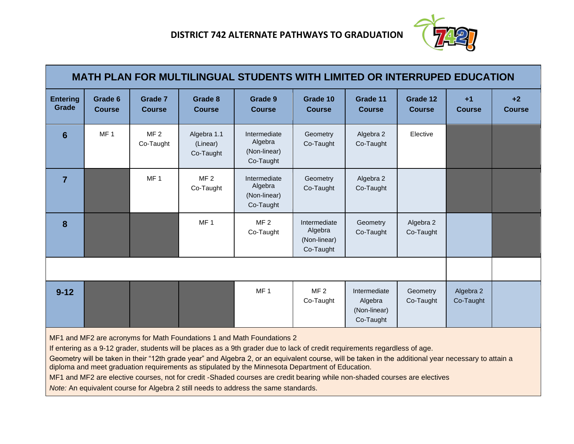

| MATH PLAN FOR MULTILINGUAL STUDENTS WITH LIMITED OR INTERRUPED EDUCATION |                          |                                 |                                      |                                                      |                                                      |                                                      |                           |                        |                       |
|--------------------------------------------------------------------------|--------------------------|---------------------------------|--------------------------------------|------------------------------------------------------|------------------------------------------------------|------------------------------------------------------|---------------------------|------------------------|-----------------------|
| <b>Entering</b><br>Grade                                                 | Grade 6<br><b>Course</b> | <b>Grade 7</b><br><b>Course</b> | Grade 8<br><b>Course</b>             | Grade 9<br><b>Course</b>                             | Grade 10<br><b>Course</b>                            | Grade 11<br><b>Course</b>                            | Grade 12<br><b>Course</b> | $+1$<br><b>Course</b>  | $+2$<br><b>Course</b> |
| 6                                                                        | MF <sub>1</sub>          | MF <sub>2</sub><br>Co-Taught    | Algebra 1.1<br>(Linear)<br>Co-Taught | Intermediate<br>Algebra<br>(Non-linear)<br>Co-Taught | Geometry<br>Co-Taught                                | Algebra 2<br>Co-Taught                               | Elective                  |                        |                       |
| $\overline{7}$                                                           |                          | MF <sub>1</sub>                 | MF <sub>2</sub><br>Co-Taught         | Intermediate<br>Algebra<br>(Non-linear)<br>Co-Taught | Geometry<br>Co-Taught                                | Algebra 2<br>Co-Taught                               |                           |                        |                       |
| 8                                                                        |                          |                                 | MF <sub>1</sub>                      | MF <sub>2</sub><br>Co-Taught                         | Intermediate<br>Algebra<br>(Non-linear)<br>Co-Taught | Geometry<br>Co-Taught                                | Algebra 2<br>Co-Taught    |                        |                       |
|                                                                          |                          |                                 |                                      |                                                      |                                                      |                                                      |                           |                        |                       |
| $9 - 12$                                                                 |                          |                                 |                                      | MF <sub>1</sub>                                      | MF <sub>2</sub><br>Co-Taught                         | Intermediate<br>Algebra<br>(Non-linear)<br>Co-Taught | Geometry<br>Co-Taught     | Algebra 2<br>Co-Taught |                       |

MF1 and MF2 are acronyms for Math Foundations 1 and Math Foundations 2

If entering as a 9-12 grader, students will be places as a 9th grader due to lack of credit requirements regardless of age.

Geometry will be taken in their "12th grade year" and Algebra 2, or an equivalent course, will be taken in the additional year necessary to attain a diploma and meet graduation requirements as stipulated by the Minnesota Department of Education.

MF1 and MF2 are elective courses, not for credit -Shaded courses are credit bearing while non-shaded courses are electives

*Note:* An equivalent course for Algebra 2 still needs to address the same standards.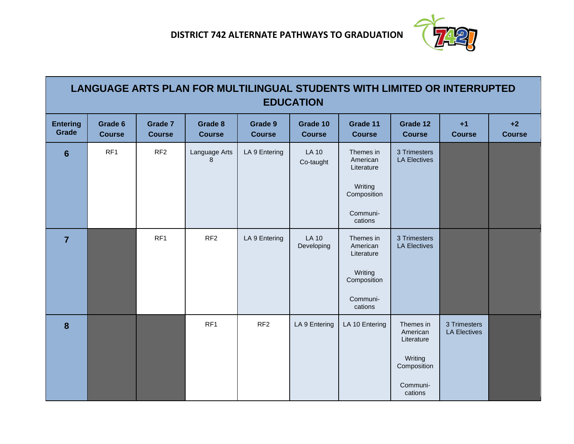

| LANGUAGE ARTS PLAN FOR MULTILINGUAL STUDENTS WITH LIMITED OR INTERRUPTED<br><b>EDUCATION</b> |                          |                          |                          |                          |                            |                                                                                      |                                                                                      |                                     |                       |
|----------------------------------------------------------------------------------------------|--------------------------|--------------------------|--------------------------|--------------------------|----------------------------|--------------------------------------------------------------------------------------|--------------------------------------------------------------------------------------|-------------------------------------|-----------------------|
| <b>Entering</b><br>Grade                                                                     | Grade 6<br><b>Course</b> | Grade 7<br><b>Course</b> | Grade 8<br><b>Course</b> | Grade 9<br><b>Course</b> | Grade 10<br><b>Course</b>  | Grade 11<br><b>Course</b>                                                            | Grade 12<br><b>Course</b>                                                            | $+1$<br><b>Course</b>               | $+2$<br><b>Course</b> |
| $6\phantom{1}6$                                                                              | RF1                      | RF <sub>2</sub>          | Language Arts<br>8       | LA 9 Entering            | <b>LA 10</b><br>Co-taught  | Themes in<br>American<br>Literature<br>Writing<br>Composition<br>Communi-<br>cations | 3 Trimesters<br><b>LA Electives</b>                                                  |                                     |                       |
| $\overline{7}$                                                                               |                          | RF <sub>1</sub>          | RF <sub>2</sub>          | LA 9 Entering            | <b>LA 10</b><br>Developing | Themes in<br>American<br>Literature<br>Writing<br>Composition<br>Communi-<br>cations | 3 Trimesters<br><b>LA Electives</b>                                                  |                                     |                       |
| 8                                                                                            |                          |                          | RF <sub>1</sub>          | RF <sub>2</sub>          | LA 9 Entering              | LA 10 Entering                                                                       | Themes in<br>American<br>Literature<br>Writing<br>Composition<br>Communi-<br>cations | 3 Trimesters<br><b>LA Electives</b> |                       |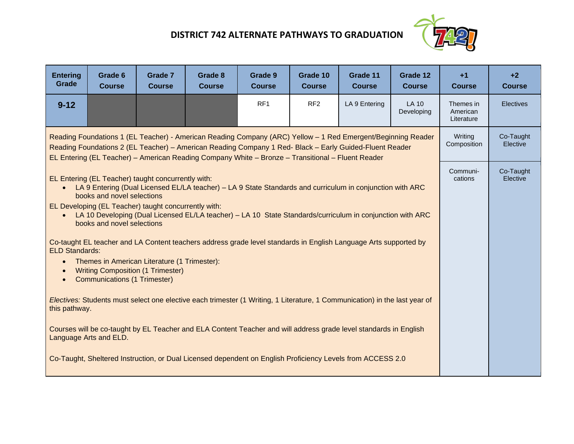## **DISTRICT 742 ALTERNATE PATHWAYS TO GRADUATION**



| <b>Entering</b><br>Grade                                                                                                                                                                                                                                                                                                     | Grade 6<br><b>Course</b>                                                                                                                                                                                                                                                                                                                                                                                                                                                                                                                                                                                                                                                                                                                                                                                                                                                                                                                                                                                                                                                                     | Grade 7<br><b>Course</b> | Grade 8<br><b>Course</b> | Grade 9<br><b>Course</b> | Grade 10<br><b>Course</b> | Grade 11<br><b>Course</b> | Grade 12<br><b>Course</b> | $+1$<br><b>Course</b>               | $+2$<br><b>Course</b> |
|------------------------------------------------------------------------------------------------------------------------------------------------------------------------------------------------------------------------------------------------------------------------------------------------------------------------------|----------------------------------------------------------------------------------------------------------------------------------------------------------------------------------------------------------------------------------------------------------------------------------------------------------------------------------------------------------------------------------------------------------------------------------------------------------------------------------------------------------------------------------------------------------------------------------------------------------------------------------------------------------------------------------------------------------------------------------------------------------------------------------------------------------------------------------------------------------------------------------------------------------------------------------------------------------------------------------------------------------------------------------------------------------------------------------------------|--------------------------|--------------------------|--------------------------|---------------------------|---------------------------|---------------------------|-------------------------------------|-----------------------|
| $9 - 12$                                                                                                                                                                                                                                                                                                                     |                                                                                                                                                                                                                                                                                                                                                                                                                                                                                                                                                                                                                                                                                                                                                                                                                                                                                                                                                                                                                                                                                              |                          |                          | RF1                      | RF <sub>2</sub>           | LA 9 Entering             | LA 10<br>Developing       | Themes in<br>American<br>Literature | <b>Electives</b>      |
| Reading Foundations 1 (EL Teacher) - American Reading Company (ARC) Yellow - 1 Red Emergent/Beginning Reader<br>Reading Foundations 2 (EL Teacher) - American Reading Company 1 Red- Black - Early Guided-Fluent Reader<br>EL Entering (EL Teacher) – American Reading Company White – Bronze – Transitional – Fluent Reader |                                                                                                                                                                                                                                                                                                                                                                                                                                                                                                                                                                                                                                                                                                                                                                                                                                                                                                                                                                                                                                                                                              |                          |                          |                          |                           |                           |                           | Writina<br>Composition              | Co-Taught<br>Elective |
| $\bullet$<br>$\bullet$                                                                                                                                                                                                                                                                                                       | EL Entering (EL Teacher) taught concurrently with:<br>LA 9 Entering (Dual Licensed EL/LA teacher) - LA 9 State Standards and curriculum in conjunction with ARC<br>books and novel selections<br>EL Developing (EL Teacher) taught concurrently with:<br>LA 10 Developing (Dual Licensed EL/LA teacher) - LA 10 State Standards/curriculum in conjunction with ARC<br>books and novel selections<br>Co-taught EL teacher and LA Content teachers address grade level standards in English Language Arts supported by<br><b>ELD Standards:</b><br>Themes in American Literature (1 Trimester):<br><b>Writing Composition (1 Trimester)</b><br><b>Communications (1 Trimester)</b><br>Electives: Students must select one elective each trimester (1 Writing, 1 Literature, 1 Communication) in the last year of<br>this pathway.<br>Courses will be co-taught by EL Teacher and ELA Content Teacher and will address grade level standards in English<br>Language Arts and ELD.<br>Co-Taught, Sheltered Instruction, or Dual Licensed dependent on English Proficiency Levels from ACCESS 2.0 |                          |                          |                          |                           |                           |                           | Communi-<br>cations                 | Co-Taught<br>Elective |